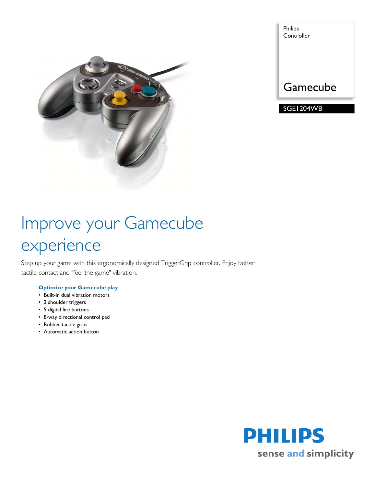

| Philips<br>Controller |
|-----------------------|
|                       |
| Gamecube              |
| SGE1204WB             |

# Improve your Gamecube experience

Step up your game with this ergonomically designed TriggerGrip controller. Enjoy better tactile contact and "feel the game" vibration.

#### **Optimize your Gamecube play**

- Built-in dual vibration motors
- 2 shoulder triggers
- 5 digital fire buttons
- 8-way directional control pad
- Rubber tactile grips
- Automatic action button